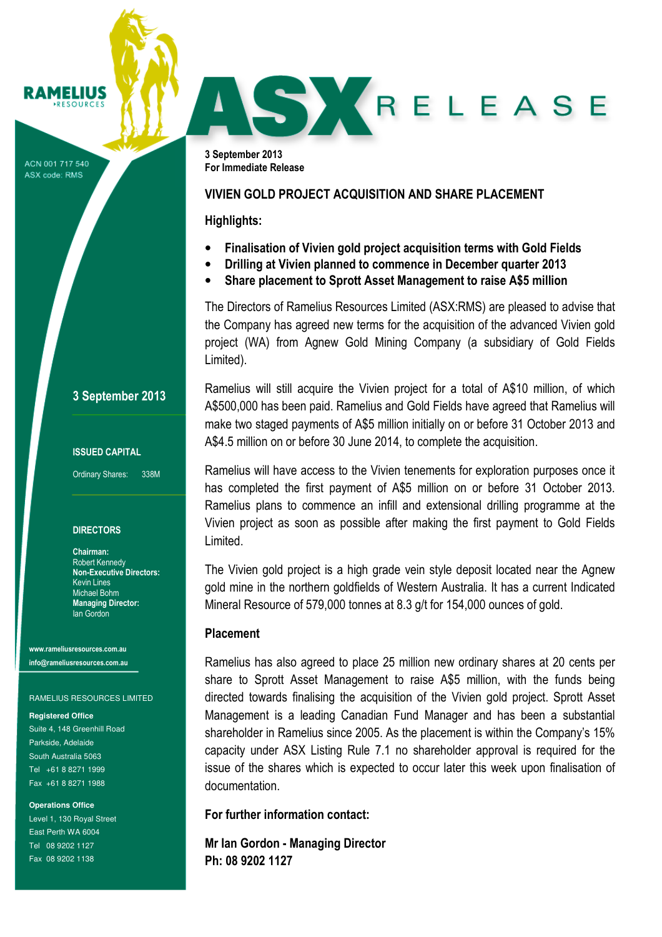### **RAMELIUS RESOURCES**

ACN 001 717 540 ASX code: RMS

# SKRELEASE

3 September 2013 For Immediate Release

# VIVIEN GOLD PROJECT ACQUISITION AND SHARE PLACEMENT

# Highlights:

- Finalisation of Vivien gold project acquisition terms with Gold Fields
- Drilling at Vivien planned to commence in December quarter 2013
- Share placement to Sprott Asset Management to raise A\$5 million

The Directors of Ramelius Resources Limited (ASX:RMS) are pleased to advise that the Company has agreed new terms for the acquisition of the advanced Vivien gold project (WA) from Agnew Gold Mining Company (a subsidiary of Gold Fields Limited).

Ramelius will still acquire the Vivien project for a total of A\$10 million, of which A\$500,000 has been paid. Ramelius and Gold Fields have agreed that Ramelius will make two staged payments of A\$5 million initially on or before 31 October 2013 and A\$4.5 million on or before 30 June 2014, to complete the acquisition.

Ramelius will have access to the Vivien tenements for exploration purposes once it has completed the first payment of A\$5 million on or before 31 October 2013. Ramelius plans to commence an infill and extensional drilling programme at the Vivien project as soon as possible after making the first payment to Gold Fields Limited.

The Vivien gold project is a high grade vein style deposit located near the Agnew gold mine in the northern goldfields of Western Australia. It has a current Indicated Mineral Resource of 579,000 tonnes at 8.3 g/t for 154,000 ounces of gold.

# Placement

Ramelius has also agreed to place 25 million new ordinary shares at 20 cents per share to Sprott Asset Management to raise A\$5 million, with the funds being directed towards finalising the acquisition of the Vivien gold project. Sprott Asset Management is a leading Canadian Fund Manager and has been a substantial shareholder in Ramelius since 2005. As the placement is within the Company's 15% capacity under ASX Listing Rule 7.1 no shareholder approval is required for the issue of the shares which is expected to occur later this week upon finalisation of documentation.

For further information contact:

Mr Ian Gordon - Managing Director Ph: 08 9202 1127

ISSUED CAPITAL

Ordinary Shares: 338M

3 September 2013

# **DIRECTORS**

Chairman: Robert Kennedy Non-Executive Directors: Kevin Lines Michael Bohm Managing Director: Ian Gordon

www.rameliusresources.com.au info@rameliusresources.com.au

## RAMELIUS RESOURCES LIMITED

## **Registered Office**

Suite 4, 148 Greenhill Road Parkside, Adelaide South Australia 5063 Tel +61 8 8271 1999 Fax +61 8 8271 1988

**Operations Office** 

Level 1, 130 Royal Street East Perth WA 6004 Tel 08 9202 1127 Fax 08 9202 1138